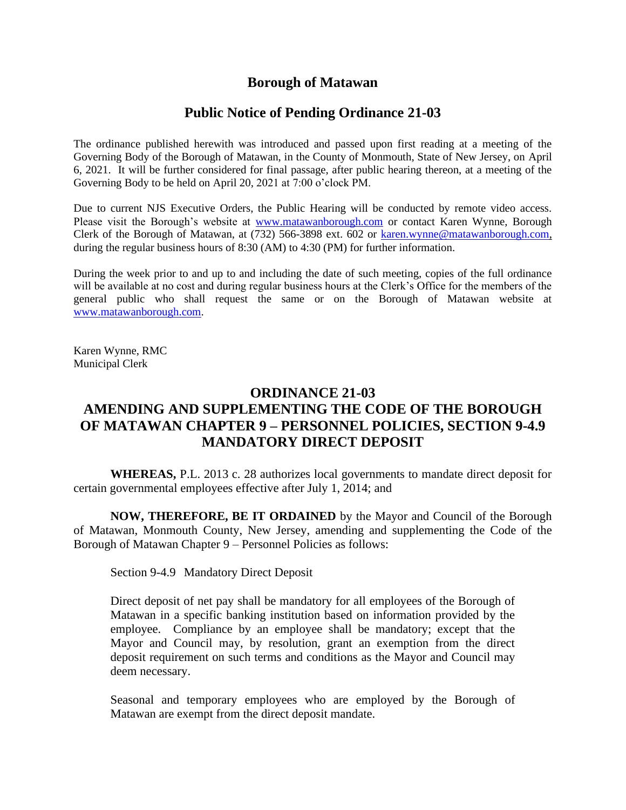## **Borough of Matawan**

## **Public Notice of Pending Ordinance 21-03**

The ordinance published herewith was introduced and passed upon first reading at a meeting of the Governing Body of the Borough of Matawan, in the County of Monmouth, State of New Jersey, on April 6, 2021. It will be further considered for final passage, after public hearing thereon, at a meeting of the Governing Body to be held on April 20, 2021 at 7:00 o'clock PM.

Due to current NJS Executive Orders, the Public Hearing will be conducted by remote video access. Please visit the Borough's website at [www.matawanborough.com](http://www.matawanborough.com/) or contact Karen Wynne, Borough Clerk of the Borough of Matawan, at (732) 566-3898 ext. 602 or [karen.wynne@matawanborough.com,](mailto:karen.wynne@matawanborough.com) during the regular business hours of 8:30 (AM) to 4:30 (PM) for further information.

During the week prior to and up to and including the date of such meeting, copies of the full ordinance will be available at no cost and during regular business hours at the Clerk's Office for the members of the general public who shall request the same or on the Borough of Matawan website at [www.matawanborough.com.](http://www.matawanborough.com/)

Karen Wynne, RMC Municipal Clerk

# **ORDINANCE 21-03 AMENDING AND SUPPLEMENTING THE CODE OF THE BOROUGH OF MATAWAN CHAPTER 9 – PERSONNEL POLICIES, SECTION 9-4.9 MANDATORY DIRECT DEPOSIT**

**WHEREAS,** P.L. 2013 c. 28 authorizes local governments to mandate direct deposit for certain governmental employees effective after July 1, 2014; and

**NOW, THEREFORE, BE IT ORDAINED** by the Mayor and Council of the Borough of Matawan, Monmouth County, New Jersey, amending and supplementing the Code of the Borough of Matawan Chapter 9 – Personnel Policies as follows:

Section 9-4.9 Mandatory Direct Deposit

Direct deposit of net pay shall be mandatory for all employees of the Borough of Matawan in a specific banking institution based on information provided by the employee. Compliance by an employee shall be mandatory; except that the Mayor and Council may, by resolution, grant an exemption from the direct deposit requirement on such terms and conditions as the Mayor and Council may deem necessary.

Seasonal and temporary employees who are employed by the Borough of Matawan are exempt from the direct deposit mandate.